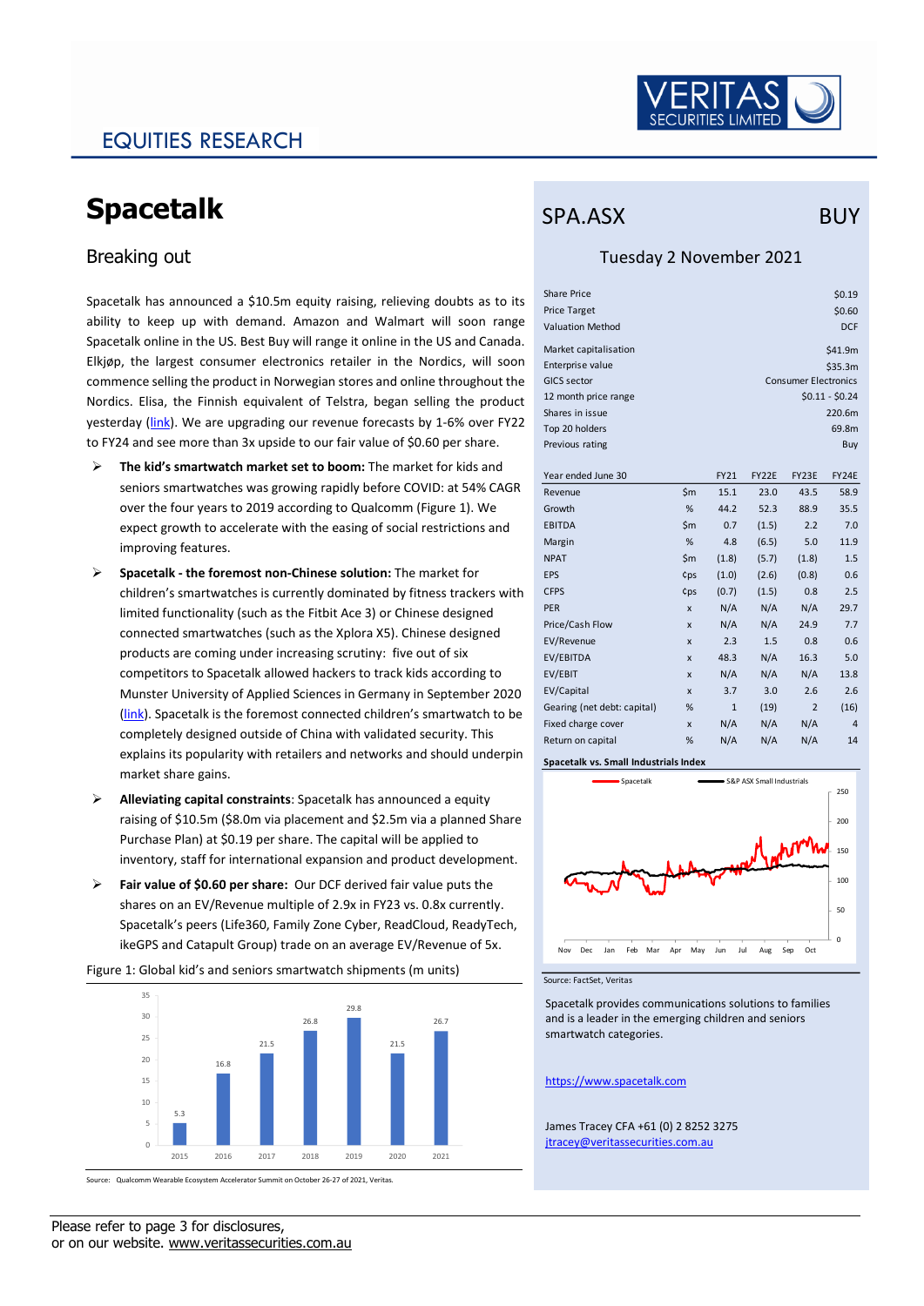

## EQUITIES RESEARCH

# **Spacetalk**

### Breaking out

Spacetalk has announced a \$10.5m equity raising, relieving doubts as to its ability to keep up with demand. Amazon and Walmart will soon range Spacetalk online in the US. Best Buy will range it online in the US and Canada. Elkjøp, the largest consumer electronics retailer in the Nordics, will soon commence selling the product in Norwegian stores and online throughout the Nordics. Elisa, the Finnish equivalent of Telstra, began selling the product yesterday [\(link\)](https://elisa.fi/kauppa/tuote/spacetalk-adventurer-lasten-%C3%A4lykello?deviceVariant=Adventurer%20Lasten%20%C3%84lykello%20Midnight&paymentOption=1). We are upgrading our revenue forecasts by 1-6% over FY22 to FY24 and see more than 3x upside to our fair value of \$0.60 per share.

- ➢ **The kid's smartwatch market set to boom:** The market for kids and seniors smartwatches was growing rapidly before COVID: at 54% CAGR over the four years to 2019 according to Qualcomm (Figure 1). We expect growth to accelerate with the easing of social restrictions and improving features.
- ➢ **Spacetalk - the foremost non-Chinese solution:** The market for children's smartwatches is currently dominated by fitness trackers with limited functionality (such as the Fitbit Ace 3) or Chinese designed connected smartwatches (such as the Xplora X5). Chinese designed products are coming under increasing scrutiny: five out of six competitors to Spacetalk allowed hackers to track kids according to Munster University of Applied Sciences in Germany in September 2020 [\(link\)](https://www.wired.com/story/kid-smartwatch-security-vulnerabilities/). Spacetalk is the foremost connected children's smartwatch to be completely designed outside of China with validated security. This explains its popularity with retailers and networks and should underpin market share gains.
- ➢ **Alleviating capital constraints**: Spacetalk has announced a equity raising of \$10.5m (\$8.0m via placement and \$2.5m via a planned Share Purchase Plan) at \$0.19 per share. The capital will be applied to inventory, staff for international expansion and product development.
- ➢ **Fair value of \$0.60 per share:** Our DCF derived fair value puts the shares on an EV/Revenue multiple of 2.9x in FY23 vs. 0.8x currently. Spacetalk's peers (Life360, Family Zone Cyber, ReadCloud, ReadyTech, ikeGPS and Catapult Group) trade on an average EV/Revenue of 5x.

Figure 1: Global kid's and seniors smartwatch shipments (m units)



Source: Qualcomm Wearable Ecosystem Accelerator Summit on October 26-27 of 2021, Veritas.

### SPA.ASX BUY

#### Tuesday 2 November 2021

| <b>Share Price</b><br><b>Price Target</b><br><b>Valuation Method</b> |                             |              |       |                | \$0.19<br>\$0.60<br><b>DCF</b> |  |  |  |  |  |
|----------------------------------------------------------------------|-----------------------------|--------------|-------|----------------|--------------------------------|--|--|--|--|--|
| Market capitalisation                                                |                             | \$41.9m      |       |                |                                |  |  |  |  |  |
| Enterprise value                                                     |                             | \$35.3m      |       |                |                                |  |  |  |  |  |
| <b>GICS sector</b>                                                   | <b>Consumer Electronics</b> |              |       |                |                                |  |  |  |  |  |
| 12 month price range                                                 | $$0.11 - $0.24$$            |              |       |                |                                |  |  |  |  |  |
| Shares in issue                                                      |                             |              |       | 220.6m         |                                |  |  |  |  |  |
| Top 20 holders                                                       |                             |              |       |                | 69.8m                          |  |  |  |  |  |
| Previous rating                                                      |                             |              |       |                | Buy                            |  |  |  |  |  |
| Year ended June 30                                                   |                             | <b>FY21</b>  | FY22E | FY23E          | FY24E                          |  |  |  |  |  |
| Revenue                                                              | $\mathsf{Sm}$               | 15.1         | 23.0  | 43.5           | 58.9                           |  |  |  |  |  |
| Growth                                                               | %                           | 44.2         | 52.3  | 88.9           | 35.5                           |  |  |  |  |  |
| <b>EBITDA</b>                                                        | $\mathsf{Sm}$               | 0.7          | (1.5) | 2.2            | 7.0                            |  |  |  |  |  |
| Margin                                                               | %                           | 4.8          | (6.5) | 5.0            | 11.9                           |  |  |  |  |  |
| <b>NPAT</b>                                                          | $\mathsf{Sm}$               | (1.8)        | (5.7) | (1.8)          | 1.5                            |  |  |  |  |  |
| <b>EPS</b>                                                           | cps                         | (1.0)        | (2.6) | (0.8)          | 0.6                            |  |  |  |  |  |
| <b>CFPS</b>                                                          | ¢ps                         | (0.7)        | (1.5) | 0.8            | 2.5                            |  |  |  |  |  |
| <b>PER</b>                                                           | X                           | N/A          | N/A   | N/A            | 29.7                           |  |  |  |  |  |
| Price/Cash Flow                                                      | X                           | N/A          | N/A   | 24.9           | 7.7                            |  |  |  |  |  |
| EV/Revenue                                                           | X                           | 2.3          | 1.5   | 0.8            | 0.6                            |  |  |  |  |  |
| EV/EBITDA                                                            | X                           | 48.3         | N/A   | 16.3           | 5.0                            |  |  |  |  |  |
| EV/EBIT                                                              | X                           | N/A          | N/A   | N/A            | 13.8                           |  |  |  |  |  |
| EV/Capital                                                           | $\mathbf{x}$                | 3.7          | 3.0   | 2.6            | 2.6                            |  |  |  |  |  |
| Gearing (net debt: capital)                                          | %                           | $\mathbf{1}$ | (19)  | $\overline{2}$ | (16)                           |  |  |  |  |  |
| Fixed charge cover                                                   | X                           | N/A          | N/A   | N/A            | $\overline{4}$                 |  |  |  |  |  |
| Return on capital                                                    | %                           | N/A          | N/A   | N/A            | 14                             |  |  |  |  |  |

**Spacetalk vs. Small Industrials Index**



Source: FactSet, Veritas

Spacetalk provides communications solutions to families and is a leader in the emerging children and seniors smartwatch categories.

#### [https://www.spacetalk.com](https://www.spacetalk.com/)

James Tracey CFA +61 (0) 2 8252 3275 [jtracey@veritassecurities.com.au](mailto:jtracey@veritassecurities.com.au)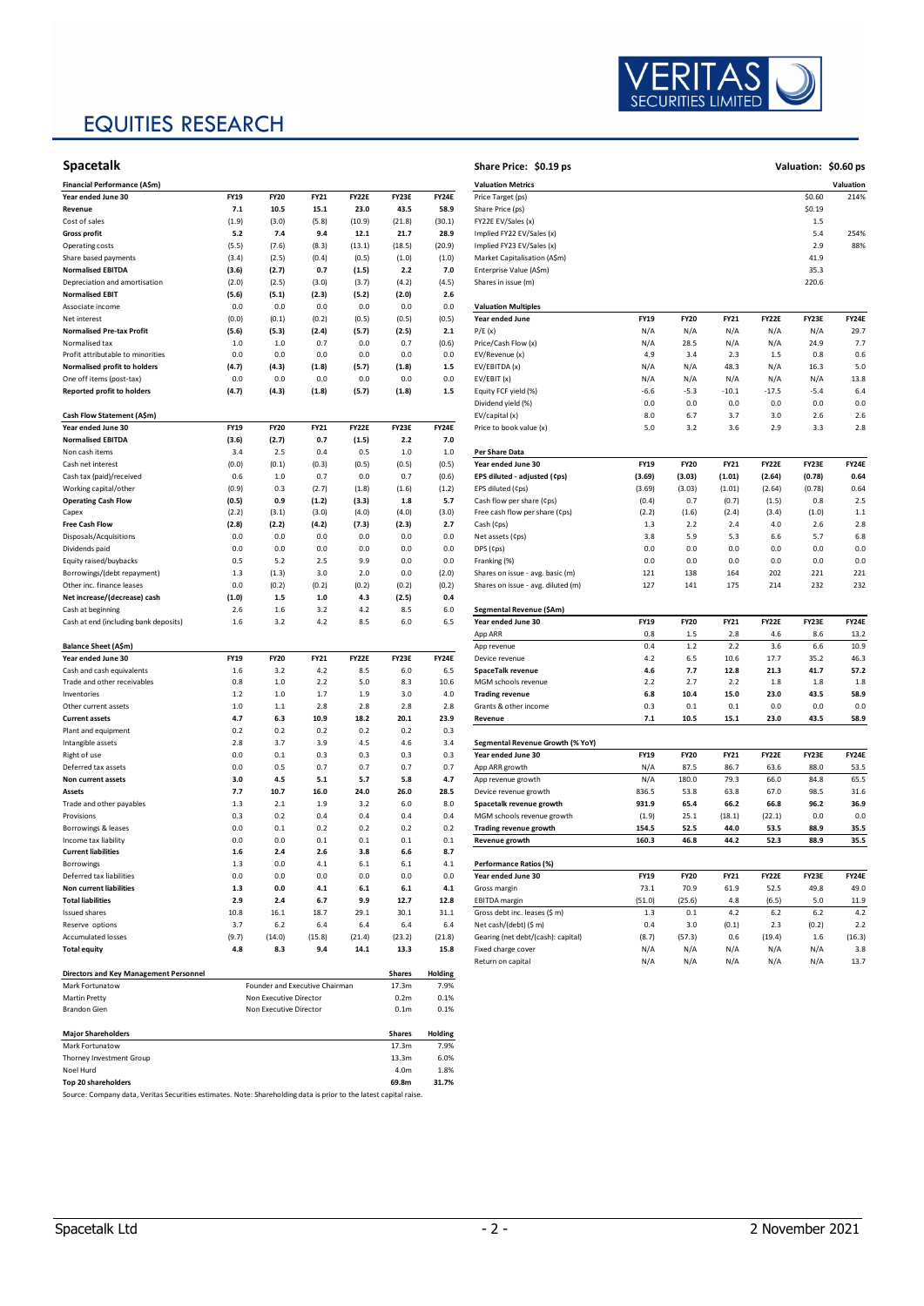# EQUITIES RESEARCH



| <b>Spacetalk</b>                              |                        |                                |                    |              |                  |              | Share Price: \$0.19 ps                        |             |             |             |              | <b>Valuation:</b> |
|-----------------------------------------------|------------------------|--------------------------------|--------------------|--------------|------------------|--------------|-----------------------------------------------|-------------|-------------|-------------|--------------|-------------------|
| Financial Performance (A\$m)                  |                        |                                |                    |              |                  |              | <b>Valuation Metrics</b>                      |             |             |             |              |                   |
| Year ended June 30                            | <b>FY19</b>            | <b>FY20</b>                    | <b>FY21</b>        | <b>FY22E</b> | FY23E            | FY24E        | Price Target (ps)                             |             |             |             |              | \$0.60            |
| Revenue                                       | 7.1                    | 10.5                           | 15.1               | 23.0         | 43.5             | 58.9         | Share Price (ps)                              |             |             |             |              | \$0.19            |
| Cost of sales                                 | (1.9)                  | (3.0)                          | (5.8)              | (10.9)       | (21.8)           | (30.1)       | FY22E EV/Sales (x)                            |             |             |             |              | 1.5               |
| <b>Gross profit</b>                           | 5.2                    | 7.4                            | 9.4                | 12.1         | 21.7             | 28.9         | Implied FY22 EV/Sales (x)                     |             |             |             |              | 5.4               |
| Operating costs                               | (5.5)                  | (7.6)                          | (8.3)              | (13.1)       | (18.5)           | (20.9)       | Implied FY23 EV/Sales (x)                     |             |             |             |              | 2.9               |
| Share based payments                          | (3.4)                  | (2.5)                          | (0.4)              | (0.5)        | (1.0)            | (1.0)        | Market Capitalisation (A\$m)                  |             |             |             |              | 41.9              |
| <b>Normalised EBITDA</b>                      | (3.6)                  | (2.7)                          | 0.7                | (1.5)        | 2.2              | 7.0          | Enterprise Value (A\$m)                       |             |             |             |              | 35.3              |
| Depreciation and amortisation                 | (2.0)                  | (2.5)                          | (3.0)              | (3.7)        | (4.2)            | (4.5)        | Shares in issue (m)                           |             |             |             |              | 220.6             |
| <b>Normalised EBIT</b>                        | (5.6)                  | (5.1)                          | (2.3)              | (5.2)        | (2.0)            | 2.6          |                                               |             |             |             |              |                   |
| Associate income                              | 0.0                    | 0.0                            | 0.0                | 0.0          | 0.0              | 0.0          | <b>Valuation Multiples</b>                    |             |             |             |              |                   |
| Net interest                                  | (0.0)                  | (0.1)                          | (0.2)              | (0.5)        | (0.5)            | (0.5)        | Year ended June                               | <b>FY19</b> | <b>FY20</b> | <b>FY21</b> | FY22E        | FY23E             |
| <b>Normalised Pre-tax Profit</b>              | (5.6)                  | (5.3)                          | (2.4)              | (5.7)        | (2.5)            | 2.1          | P/E(x)                                        | N/A         | N/A         | N/A         | N/A          | N/A               |
| Normalised tax                                | 1.0                    | 1.0                            | 0.7                | 0.0          | 0.7              | (0.6)        | Price/Cash Flow (x)                           | N/A         | 28.5        | N/A         | N/A          | 24.9              |
| Profit attributable to minorities             | 0.0                    | 0.0                            | 0.0                | 0.0          | 0.0              | 0.0          | EV/Revenue (x)                                | 4.9         | 3.4         | 2.3         | 1.5          | 0.8               |
| Normalised profit to holders                  | (4.7)                  | (4.3)                          | (1.8)              | (5.7)        | (1.8)            | 1.5          | EV/EBITDA (x)                                 | N/A         | N/A         | 48.3        | N/A          | 16.3              |
| One off items (post-tax)                      | 0.0                    | 0.0                            | 0.0                | 0.0          | 0.0              | 0.0          | EV/EBIT (x)                                   | N/A         | N/A         | N/A         | N/A          | N/A               |
| <b>Reported profit to holders</b>             | (4.7)                  | (4.3)                          | (1.8)              | (5.7)        | (1.8)            | 1.5          | Equity FCF yield (%)                          | $-6.6$      | $-5.3$      | $-10.1$     | $-17.5$      | $-5.4$            |
|                                               |                        |                                |                    |              |                  |              | Dividend yield (%)                            | 0.0         | 0.0         | 0.0         | 0.0          | 0.0               |
| Cash Flow Statement (A\$m)                    |                        |                                |                    |              |                  |              | EV/capital (x)                                | 8.0         | 6.7         | 3.7         | 3.0          | 2.6               |
| Year ended June 30                            | <b>FY19</b>            | <b>FY20</b>                    | <b>FY21</b>        | FY22E        | FY23E            | <b>FY24E</b> | Price to book value (x)                       | 5.0         | 3.2         | 3.6         | 2.9          | 3.3               |
| <b>Normalised EBITDA</b>                      | (3.6)                  | (2.7)                          | 0.7                | (1.5)        | 2.2              | 7.0          |                                               |             |             |             |              |                   |
| Non cash items                                | 3.4                    | 2.5                            | 0.4                | 0.5          | 1.0              | 1.0          | Per Share Data                                |             |             |             |              |                   |
| Cash net interest                             | (0.0)                  | (0.1)                          | (0.3)              | (0.5)        | (0.5)            | (0.5)        | Year ended June 30                            | <b>FY19</b> | <b>FY20</b> | <b>FY21</b> | FY22E        | FY23E             |
| Cash tax (paid)/received                      | 0.6                    | 1.0                            | 0.7                | 0.0          | 0.7              | (0.6)        | EPS diluted - adjusted (¢ps)                  | (3.69)      | (3.03)      | (1.01)      | (2.64)       | (0.78)            |
| Working capital/other                         | (0.9)                  | 0.3                            | (2.7)              | (1.8)        | (1.6)            | (1.2)        | EPS diluted (¢ps)                             | (3.69)      | (3.03)      | (1.01)      | (2.64)       | (0.78)            |
| <b>Operating Cash Flow</b>                    | (0.5)                  | 0.9                            | (1.2)              | (3.3)        | 1.8              | 5.7          | Cash flow per share (¢ps)                     | (0.4)       | 0.7         | (0.7)       | (1.5)        | 0.8               |
| Capex                                         | (2.2)                  | (3.1)                          | (3.0)              | (4.0)        | (4.0)            | (3.0)        | Free cash flow per share (¢ps)                | (2.2)       | (1.6)       | (2.4)       | (3.4)        | (1.0)             |
| <b>Free Cash Flow</b>                         | (2.8)                  | (2.2)                          | (4.2)              | (7.3)        | (2.3)            | 2.7          | Cash (¢ps)                                    | 1.3         | 2.2         | 2.4         | 4.0          | 2.6               |
| Disposals/Acquisitions                        | 0.0                    | 0.0                            | 0.0                | 0.0          | 0.0              | 0.0          | Net assets (¢ps)                              | 3.8         | 5.9         | 5.3         | 6.6          | 5.7               |
| Dividends paid                                | 0.0                    | 0.0                            | 0.0                | 0.0          | 0.0              | 0.0          | DPS (¢ps)                                     | 0.0         | $0.0\,$     | 0.0         | 0.0          | 0.0               |
| Equity raised/buybacks                        | 0.5                    | 5.2                            | 2.5                | 9.9          | 0.0              | 0.0          | Franking (%)                                  | 0.0         | 0.0         | 0.0         | 0.0          | 0.0               |
| Borrowings/(debt repayment)                   | 1.3                    | (1.3)                          | 3.0                | 2.0          | 0.0              | (2.0)        | Shares on issue - avg. basic (m)              | 121         | 138         | 164         | 202          | 221               |
| Other inc. finance leases                     | 0.0                    | (0.2)                          | (0.2)              | (0.2)        | (0.2)            | (0.2)        | Shares on issue - avg. diluted (m)            | 127         | 141         | 175         | 214          | 232               |
| Net increase/(decrease) cash                  | (1.0)                  | 1.5                            | 1.0                | 4.3          | (2.5)            | 0.4          |                                               |             |             |             |              |                   |
| Cash at beginning                             | 2.6                    | 1.6                            | 3.2                | 4.2          | 8.5              | 6.0          | Segmental Revenue (\$Am)                      |             |             |             |              |                   |
| Cash at end (including bank deposits)         | 1.6                    | 3.2                            | 4.2                | 8.5          | 6.0              | 6.5          | Year ended June 30                            | <b>FY19</b> | <b>FY20</b> | <b>FY21</b> | FY22E        | FY23E             |
|                                               |                        |                                |                    |              |                  |              | App ARR                                       | 0.8         | 1.5         | 2.8         | 4.6          | 8.6               |
| Balance Sheet (A\$m)                          |                        |                                |                    |              |                  |              | App revenue                                   | 0.4         | $1.2$       | 2.2         | 3.6          | 6.6               |
| Year ended June 30                            | <b>FY19</b><br>$1.6\,$ | <b>FY20</b><br>3.2             | <b>FY21</b><br>4.2 | <b>FY22E</b> | FY23E            | FY24E        | Device revenue                                | 4.2<br>4.6  | 6.5<br>7.7  | 10.6        | 17.7<br>21.3 | 35.2              |
| Cash and cash equivalents                     |                        | 1.0                            |                    | 8.5          | 6.0              | 6.5          | SpaceTalk revenue                             | 2.2         | 2.7         | 12.8        |              | 41.7              |
| Trade and other receivables<br>Inventories    | 0.8<br>1.2             | 1.0                            | 2.2<br>1.7         | 5.0<br>1.9   | 8.3<br>3.0       | 10.6<br>4.0  | MGM schools revenue<br><b>Trading revenue</b> | 6.8         | 10.4        | 2.2<br>15.0 | 1.8<br>23.0  | 1.8<br>43.5       |
| Other current assets                          | 1.0                    | 1.1                            | 2.8                | 2.8          | 2.8              | 2.8          | Grants & other income                         | 0.3         | 0.1         | 0.1         | 0.0          | 0.0               |
| <b>Current assets</b>                         | 4.7                    | 6.3                            | 10.9               | 18.2         | 20.1             | 23.9         | Revenue                                       | 7.1         | 10.5        | 15.1        | 23.0         | 43.5              |
| Plant and equipment                           | 0.2                    | 0.2                            | 0.2                | 0.2          | 0.2              | 0.3          |                                               |             |             |             |              |                   |
| Intangible assets                             | 2.8                    | 3.7                            | 3.9                | 4.5          | 4.6              | 3.4          | Segmental Revenue Growth (% YoY)              |             |             |             |              |                   |
| Right of use                                  | 0.0                    | 0.1                            | 0.3                | 0.3          | 0.3              | 0.3          | Year ended June 30                            | <b>FY19</b> | <b>FY20</b> | <b>FY21</b> | FY22E        | FY23E             |
| Deferred tax assets                           | 0.0                    | 0.5                            | 0.7                | 0.7          | 0.7              | 0.7          | App ARR growth                                | N/A         | 87.5        | 86.7        | 63.6         | 88.0              |
| Non current assets                            | 3.0                    | 4.5                            | 5.1                | 5.7          | 5.8              | 4.7          | App revenue growth                            | N/A         | 180.0       | 79.3        | 66.0         | 84.8              |
| Assets                                        | 7.7                    | 10.7                           | 16.0               | 24.0         | 26.0             | 28.5         | Device revenue growth                         | 836.5       | 53.8        | 63.8        | 67.0         | 98.5              |
| Trade and other payables                      | 1.3                    | 2.1                            | 1.9                | 3.2          | 6.0              | 8.0          | Spacetalk revenue growth                      | 931.9       | 65.4        | 66.2        | 66.8         | 96.2              |
| Provisions                                    | 0.3                    | 0.2                            | 0.4                | 0.4          | 0.4              | 0.4          | MGM schools revenue growth                    | (1.9)       | 25.1        | (18.1)      | (22.1)       | 0.0               |
| Borrowings & leases                           | 0.0                    | 0.1                            | 0.2                | 0.2          | 0.2              | 0.2          | Trading revenue growth                        | 154.5       | 52.5        | 44.0        | 53.5         | 88.9              |
| Income tax liability                          | 0.0                    | 0.0                            | 0.1                | 0.1          | 0.1              | 0.1          | Revenue growth                                | 160.3       | 46.8        | 44.2        | 52.3         | 88.9              |
| <b>Current liabilities</b>                    | 1.6                    | 2.4                            | 2.6                | 3.8          | 6.6              | 8.7          |                                               |             |             |             |              |                   |
| Borrowings                                    | 1.3                    | 0.0                            | 4.1                | 6.1          | 6.1              | 4.1          | Performance Ratios (%)                        |             |             |             |              |                   |
| Deferred tax liabilities                      | 0.0                    | 0.0                            | 0.0                | 0.0          | 0.0              | 0.0          | Year ended June 30                            | <b>FY19</b> | <b>FY20</b> | <b>FY21</b> | FY22E        | FY23E             |
| Non current liabilities                       | 1.3                    | 0.0                            | 4.1                | 6.1          | $6.1\,$          | 4.1          | Gross margin                                  | 73.1        | 70.9        | 61.9        | 52.5         | 49.8              |
| <b>Total liabilities</b>                      | 2.9                    | 2.4                            | 6.7                | 9.9          | 12.7             | 12.8         | <b>EBITDA</b> margin                          | (51.0)      | (25.6)      | 4.8         | (6.5)        | 5.0               |
| <b>Issued shares</b>                          | 10.8                   | 16.1                           | 18.7               | 29.1         | 30.1             | 31.1         | Gross debt inc. leases (\$ m)                 | 1.3         | 0.1         | 4.2         | 6.2          | 6.2               |
| Reserve options                               | 3.7                    | 6.2                            | 6.4                | 6.4          | 6.4              | 6.4          | Net cash/(debt) (\$ m)                        | 0.4         | 3.0         | (0.1)       | 2.3          | (0.2)             |
| <b>Accumulated losses</b>                     | (9.7)                  | (14.0)                         | (15.8)             | (21.4)       | (23.2)           | (21.8)       | Gearing (net debt/(cash): capital)            | (8.7)       | (57.3)      | 0.6         | (19.4)       | 1.6               |
| <b>Total equity</b>                           | 4.8                    | 8.3                            | 9.4                | 14.1         | 13.3             | 15.8         | Fixed charge cover                            | N/A         | N/A         | N/A         | N/A          | N/A               |
|                                               |                        |                                |                    |              |                  |              | Return on capital                             | N/A         | N/A         | N/A         | N/A          | N/A               |
| <b>Directors and Key Management Personnel</b> |                        |                                |                    |              | <b>Shares</b>    | Holding      |                                               |             |             |             |              |                   |
| Mark Fortunatow                               |                        | Founder and Executive Chairman |                    |              | 17.3m            | 7.9%         |                                               |             |             |             |              |                   |
| <b>Martin Pretty</b>                          |                        | Non Executive Director         |                    |              | 0.2 <sub>m</sub> | 0.1%         |                                               |             |             |             |              |                   |
| <b>Brandon Gien</b>                           |                        | Non Executive Director         |                    |              | 0.1 <sub>m</sub> | 0.1%         |                                               |             |             |             |              |                   |
|                                               |                        |                                |                    |              |                  |              |                                               |             |             |             |              |                   |

| <b>Maior Shareholders</b>                                                                                       | <b>Shares</b>    | Holding |
|-----------------------------------------------------------------------------------------------------------------|------------------|---------|
| Mark Fortunatow                                                                                                 | 17.3m            | 7.9%    |
| Thorney Investment Group                                                                                        | 13.3m            | 6.0%    |
| Noel Hurd                                                                                                       | 4.0 <sub>m</sub> | 1.8%    |
| Top 20 shareholders                                                                                             | 69.8m            | 31.7%   |
| Partners Paragans dasa Madeir Partnetter autorista (Massa Phanaladdhan dasa tradicional sha horizo canded natur |                  |         |

urce: Company data, Veritas Securities estimates. Note: Shareholding data is prior to the latest capital raise.

| Spacetalk                              |             |             |             |              |               |              | Share Price: \$0.19 ps             |             |             |             |              |        | Valuation: \$0.60 ps |
|----------------------------------------|-------------|-------------|-------------|--------------|---------------|--------------|------------------------------------|-------------|-------------|-------------|--------------|--------|----------------------|
| Financial Performance (A\$m)           |             |             |             |              |               |              | <b>Valuation Metrics</b>           |             |             |             |              |        | Valuation            |
| Year ended June 30                     | <b>FY19</b> | <b>FY20</b> | <b>FY21</b> | <b>FY22E</b> | FY23E         | <b>FY24E</b> | Price Target (ps)                  |             |             |             |              | \$0.60 | 214%                 |
| Revenue                                | 7.1         | 10.5        | 15.1        | 23.0         | 43.5          | 58.9         | Share Price (ps)                   |             |             |             |              | \$0.19 |                      |
| Cost of sales                          | (1.9)       | (3.0)       | (5.8)       | (10.9)       | (21.8)        | (30.1)       | FY22E EV/Sales (x)                 |             |             |             |              | 1.5    |                      |
| <b>Gross profit</b>                    | 5.2         | 7.4         | 9.4         | 12.1         | 21.7          | 28.9         | Implied FY22 EV/Sales (x)          |             |             |             |              | 5.4    | 254%                 |
| <b>Operating costs</b>                 | (5.5)       | (7.6)       | (8.3)       | (13.1)       | (18.5)        | (20.9)       | Implied FY23 EV/Sales (x)          |             |             |             |              | 2.9    | 88%                  |
| Share based payments                   | (3.4)       | (2.5)       | (0.4)       | (0.5)        | (1.0)         | (1.0)        | Market Capitalisation (A\$m)       |             |             |             |              | 41.9   |                      |
| <b>Normalised EBITDA</b>               | (3.6)       | (2.7)       | 0.7         | (1.5)        | 2.2           | 7.0          | Enterprise Value (A\$m)            |             |             |             |              | 35.3   |                      |
| Depreciation and amortisation          | (2.0)       | (2.5)       | (3.0)       | (3.7)        | (4.2)         | (4.5)        | Shares in issue (m)                |             |             |             |              | 220.6  |                      |
| <b>Normalised EBIT</b>                 | (5.6)       | (5.1)       | (2.3)       | (5.2)        | (2.0)         | 2.6          |                                    |             |             |             |              |        |                      |
|                                        |             |             |             |              |               |              |                                    |             |             |             |              |        |                      |
| Associate income                       | 0.0         | 0.0         | 0.0         | 0.0          | 0.0           | 0.0          | <b>Valuation Multiples</b>         |             |             |             |              |        |                      |
| Net interest                           | (0.0)       | (0.1)       | (0.2)       | (0.5)        | (0.5)         | (0.5)        | Year ended June                    | <b>FY19</b> | <b>FY20</b> | FY21        | FY22E        | FY23E  | FY24E                |
| <b>Normalised Pre-tax Profit</b>       | (5.6)       | (5.3)       | (2.4)       | (5.7)        | (2.5)         | 2.1          | P/E(x)                             | N/A         | N/A         | N/A         | N/A          | N/A    | 29.7                 |
| Normalised tax                         | 1.0         | 1.0         | 0.7         | 0.0          | 0.7           | (0.6)        | Price/Cash Flow (x)                | N/A         | 28.5        | N/A         | N/A          | 24.9   | 7.7                  |
| Profit attributable to minorities      | 0.0         | 0.0         | 0.0         | 0.0          | 0.0           | 0.0          | EV/Revenue (x)                     | 4.9         | 3.4         | 2.3         | 1.5          | 0.8    | 0.6                  |
| Normalised profit to holders           | (4.7)       | (4.3)       | (1.8)       | (5.7)        | (1.8)         | $1.5$        | EV/EBITDA (x)                      | N/A         | N/A         | 48.3        | N/A          | 16.3   | 5.0                  |
| One off items (post-tax)               | 0.0         | 0.0         | 0.0         | 0.0          | 0.0           | 0.0          | EV/EBIT(x)                         | N/A         | N/A         | N/A         | N/A          | N/A    | 13.8                 |
| <b>Reported profit to holders</b>      | (4.7)       | (4.3)       | (1.8)       | (5.7)        | (1.8)         | $1.5$        | Equity FCF yield (%)               | $-6.6$      | $-5.3$      | $-10.1$     | $-17.5$      | $-5.4$ | 6.4                  |
|                                        |             |             |             |              |               |              | Dividend yield (%)                 | 0.0         | 0.0         | 0.0         | 0.0          | 0.0    | 0.0                  |
| Cash Flow Statement (A\$m)             |             |             |             |              |               |              | EV/capital (x)                     | 8.0         | 6.7         | 3.7         | 3.0          | 2.6    | 2.6                  |
| Year ended June 30                     | <b>FY19</b> | <b>FY20</b> | <b>FY21</b> | <b>FY22E</b> | FY23E         | FY24E        | Price to book value (x)            | 5.0         | 3.2         | 3.6         | 2.9          | 3.3    | 2.8                  |
| <b>Normalised EBITDA</b>               | (3.6)       | (2.7)       | 0.7         | (1.5)        | 2.2           | 7.0          |                                    |             |             |             |              |        |                      |
| Non cash items                         | 3.4         | 2.5         | 0.4         | 0.5          | 1.0           | 1.0          | Per Share Data                     |             |             |             |              |        |                      |
| Cash net interest                      | (0.0)       | (0.1)       | (0.3)       | (0.5)        | (0.5)         | (0.5)        | Year ended June 30                 | <b>FY19</b> | <b>FY20</b> | <b>FY21</b> | FY22E        | FY23E  | <b>FY24E</b>         |
| Cash tax (paid)/received               | 0.6         | 1.0         | 0.7         | 0.0          | 0.7           | (0.6)        | EPS diluted - adjusted (¢ps)       | (3.69)      | (3.03)      | (1.01)      | (2.64)       | (0.78) | 0.64                 |
| Working capital/other                  | (0.9)       | 0.3         | (2.7)       | (1.8)        | (1.6)         | (1.2)        | EPS diluted (¢ps)                  | (3.69)      | (3.03)      | (1.01)      | (2.64)       | (0.78) | 0.64                 |
| <b>Operating Cash Flow</b>             | (0.5)       | 0.9         | (1.2)       | (3.3)        | 1.8           | 5.7          | Cash flow per share (¢ps)          | (0.4)       | 0.7         | (0.7)       | (1.5)        | 0.8    | 2.5                  |
| Capex                                  | (2.2)       | (3.1)       | (3.0)       | (4.0)        | (4.0)         | (3.0)        | Free cash flow per share (Cps)     | (2.2)       | (1.6)       | (2.4)       | (3.4)        | (1.0)  | 1.1                  |
| <b>Free Cash Flow</b>                  | (2.8)       | (2.2)       | (4.2)       | (7.3)        | (2.3)         | 2.7          | Cash (¢ps)                         | 1.3         | 2.2         | 2.4         | 4.0          | 2.6    | 2.8                  |
| Disposals/Acquisitions                 | 0.0         |             |             |              |               | 0.0          | Net assets (¢ps)                   | 3.8         | 5.9         | 5.3         |              | 5.7    | 6.8                  |
|                                        |             | 0.0         | 0.0         | 0.0          | 0.0           |              |                                    |             |             |             | 6.6          |        |                      |
| Dividends paid                         | 0.0         | 0.0         | 0.0         | 0.0          | 0.0           | 0.0          | DPS (Cps)                          | 0.0         | 0.0         | 0.0         | 0.0          | 0.0    | 0.0                  |
| Equity raised/buybacks                 | 0.5         | 5.2         | 2.5         | 9.9          | 0.0           | 0.0          | Franking (%)                       | 0.0         | 0.0         | 0.0         | 0.0          | 0.0    | 0.0                  |
| Borrowings/(debt repayment)            | 1.3         | (1.3)       | 3.0         | 2.0          | 0.0           | (2.0)        | Shares on issue - avg. basic (m)   | 121         | 138         | 164         | 202          | 221    | 221                  |
| Other inc. finance leases              | 0.0         | (0.2)       | (0.2)       | (0.2)        | (0.2)         | (0.2)        | Shares on issue - avg. diluted (m) | 127         | 141         | 175         | 214          | 232    | 232                  |
| Net increase/(decrease) cash           | (1.0)       | 1.5         | 1.0         | 4.3          | (2.5)         | 0.4          |                                    |             |             |             |              |        |                      |
| Cash at beginning                      | 2.6         | 1.6         | 3.2         | 4.2          | 8.5           | 6.0          | Segmental Revenue (\$Am)           |             |             |             |              |        |                      |
| Cash at end (including bank deposits)  | 1.6         | 3.2         | 4.2         | 8.5          | 6.0           | 6.5          | Year ended June 30                 | <b>FY19</b> | <b>FY20</b> | <b>FY21</b> | <b>FY22E</b> | FY23E  | FY24E                |
|                                        |             |             |             |              |               |              | App ARR                            | 0.8         | $1.5$       | 2.8         | 4.6          | 8.6    | 13.2                 |
| Balance Sheet (A\$m)                   |             |             |             |              |               |              | App revenue                        | 0.4         | $1.2\,$     | 2.2         | 3.6          | 6.6    | 10.9                 |
| Year ended June 30                     | <b>FY19</b> | <b>FY20</b> | <b>FY21</b> | FY22E        | FY23E         | FY24E        | Device revenue                     | 4.2         | 6.5         | 10.6        | 17.7         | 35.2   | 46.3                 |
| Cash and cash equivalents              | 1.6         | 3.2         | 4.2         | 8.5          | 6.0           | 6.5          | SpaceTalk revenue                  | 4.6         | 7.7         | 12.8        | 21.3         | 41.7   | 57.2                 |
| Trade and other receivables            | 0.8         | 1.0         | 2.2         | 5.0          | 8.3           | 10.6         | MGM schools revenue                | 2.2         | 2.7         | 2.2         | 1.8          | 1.8    | 1.8                  |
| Inventories                            | 1.2         | 1.0         | 1.7         | 1.9          | 3.0           | 4.0          | <b>Trading revenue</b>             | 6.8         | 10.4        | 15.0        | 23.0         | 43.5   | 58.9                 |
| Other current assets                   | 1.0         | $1.1$       | 2.8         | 2.8          | 2.8           | 2.8          | Grants & other income              | 0.3         | 0.1         | 0.1         | 0.0          | 0.0    | 0.0                  |
| <b>Current assets</b>                  | 4.7         | 6.3         | 10.9        | 18.2         | 20.1          | 23.9         | Revenue                            | 7.1         | 10.5        | 15.1        | 23.0         | 43.5   | 58.9                 |
| Plant and equipment                    | 0.2         | 0.2         | 0.2         | 0.2          | 0.2           | 0.3          |                                    |             |             |             |              |        |                      |
| Intangible assets                      | 2.8         | 3.7         | 3.9         | 4.5          | 4.6           | 3.4          | Segmental Revenue Growth (% YoY)   |             |             |             |              |        |                      |
| Right of use                           | 0.0         | 0.1         | 0.3         | 0.3          | 0.3           | 0.3          | Year ended June 30                 | <b>FY19</b> | <b>FY20</b> | <b>FY21</b> | FY22E        | FY23E  | <b>FY24E</b>         |
| Deferred tax assets                    | 0.0         | 0.5         | 0.7         | 0.7          | 0.7           | 0.7          | App ARR growth                     | N/A         | 87.5        | 86.7        | 63.6         | 88.0   | 53.5                 |
| Non current assets                     | 3.0         | 4.5         | 5.1         | 5.7          | 5.8           | 4.7          | App revenue growth                 | N/A         | 180.0       | 79.3        | 66.0         | 84.8   | 65.5                 |
| Assets                                 | 7.7         | 10.7        | 16.0        | 24.0         | 26.0          | 28.5         | Device revenue growth              | 836.5       | 53.8        | 63.8        | 67.0         | 98.5   | 31.6                 |
| Trade and other payables               | 1.3         | 2.1         | 1.9         | 3.2          | 6.0           | 8.0          | Spacetalk revenue growth           | 931.9       | 65.4        | 66.2        | 66.8         | 96.2   | 36.9                 |
|                                        |             |             |             |              |               |              |                                    |             |             |             |              |        |                      |
| Provisions                             | 0.3         | 0.2         | 0.4         | 0.4          | 0.4           | 0.4          | MGM schools revenue growth         | (1.9)       | 25.1        | (18.1)      | (22.1)       | 0.0    | 0.0                  |
| Borrowings & leases                    | 0.0         | 0.1         | 0.2         | 0.2          | 0.2           | 0.2          | <b>Trading revenue growth</b>      | 154.5       | 52.5        | 44.0        | 53.5         | 88.9   | 35.5                 |
| Income tax liability                   | 0.0         | 0.0         | 0.1         | 0.1          | 0.1           | 0.1          | Revenue growth                     | 160.3       | 46.8        | 44.2        | 52.3         | 88.9   | 35.5                 |
| <b>Current liabilities</b>             | 1.6         | 2.4         | 2.6         | 3.8          | 6.6           | 8.7          |                                    |             |             |             |              |        |                      |
| Borrowings                             | 1.3         | 0.0         | 4.1         | 6.1          | 6.1           | 4.1          | Performance Ratios (%)             |             |             |             |              |        |                      |
| Deferred tax liabilities               | 0.0         | 0.0         | 0.0         | 0.0          | 0.0           | 0.0          | Year ended June 30                 | <b>FY19</b> | <b>FY20</b> | FY21        | <b>FY22E</b> | FY23E  | <b>FY24E</b>         |
| Non current liabilities                | 1.3         | 0.0         | 4.1         | 6.1          | 6.1           | 4.1          | Gross margin                       | 73.1        | 70.9        | 61.9        | 52.5         | 49.8   | 49.0                 |
| <b>Total liabilities</b>               | 2.9         | 2.4         | 6.7         | 9.9          | 12.7          | 12.8         | <b>EBITDA</b> margin               | (51.0)      | (25.6)      | 4.8         | (6.5)        | 5.0    | 11.9                 |
| <b>Issued shares</b>                   | 10.8        | 16.1        | 18.7        | 29.1         | 30.1          | 31.1         | Gross debt inc. leases (\$ m)      | 1.3         | 0.1         | $4.2\,$     | $6.2$        | 6.2    | 4.2                  |
| Reserve options                        | 3.7         | 6.2         | 6.4         | 6.4          | 6.4           | 6.4          | Net cash/(debt) (\$ m)             | 0.4         | 3.0         | (0.1)       | 2.3          | (0.2)  | 2.2                  |
| <b>Accumulated losses</b>              | (9.7)       | (14.0)      | (15.8)      | (21.4)       | (23.2)        | (21.8)       | Gearing (net debt/(cash): capital) | (8.7)       | (57.3)      | 0.6         | (19.4)       | 1.6    | (16.3)               |
| <b>Total equity</b>                    | 4.8         | 8.3         | 9.4         | 14.1         | 13.3          | 15.8         | Fixed charge cover                 | N/A         | N/A         | N/A         | N/A          | N/A    | 3.8                  |
|                                        |             |             |             |              |               |              | Return on capital                  | N/A         | N/A         | N/A         | N/A          | N/A    | 13.7                 |
| Directors and Key Management Personnel |             |             |             |              | <b>Shares</b> | Holding      |                                    |             |             |             |              |        |                      |
|                                        |             |             |             |              |               |              |                                    |             |             |             |              |        |                      |